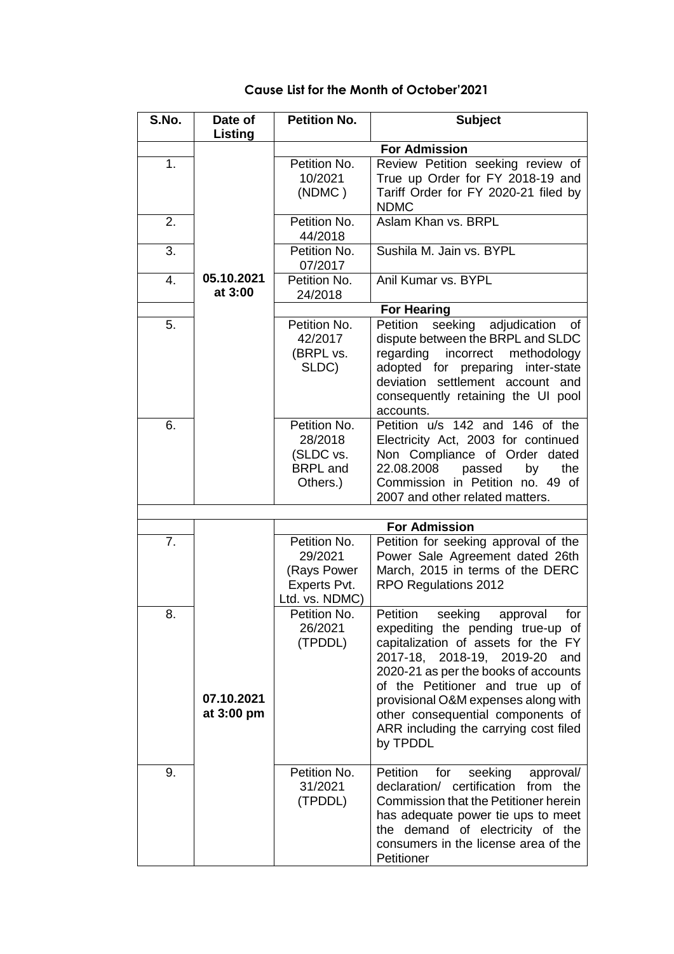| S.No.          | Date of<br>Listing       | <b>Petition No.</b>                                                      | <b>Subject</b>                                                                                                                                                                                                                                                                                                                                                      |
|----------------|--------------------------|--------------------------------------------------------------------------|---------------------------------------------------------------------------------------------------------------------------------------------------------------------------------------------------------------------------------------------------------------------------------------------------------------------------------------------------------------------|
|                |                          | <b>For Admission</b>                                                     |                                                                                                                                                                                                                                                                                                                                                                     |
| 1.             |                          | Petition No.<br>10/2021<br>(NDMC)                                        | Review Petition seeking review of<br>True up Order for FY 2018-19 and<br>Tariff Order for FY 2020-21 filed by<br><b>NDMC</b>                                                                                                                                                                                                                                        |
| 2.             |                          | Petition No.<br>44/2018                                                  | Aslam Khan vs. BRPL                                                                                                                                                                                                                                                                                                                                                 |
| 3.             |                          | Petition No.<br>07/2017                                                  | Sushila M. Jain vs. BYPL                                                                                                                                                                                                                                                                                                                                            |
| 4.             | 05.10.2021<br>at 3:00    | Petition No.<br>24/2018                                                  | Anil Kumar vs. BYPL                                                                                                                                                                                                                                                                                                                                                 |
|                |                          |                                                                          | <b>For Hearing</b>                                                                                                                                                                                                                                                                                                                                                  |
| 5.             |                          | Petition No.<br>42/2017<br>(BRPL vs.<br>SLDC)                            | seeking adjudication of<br>Petition<br>dispute between the BRPL and SLDC<br>regarding incorrect methodology<br>adopted for preparing<br>inter-state<br>deviation settlement account and<br>consequently retaining the UI pool<br>accounts.                                                                                                                          |
| 6.             |                          | Petition No.<br>28/2018<br>(SLDC vs.<br><b>BRPL</b> and<br>Others.)      | Petition u/s 142 and 146 of the<br>Electricity Act, 2003 for continued<br>Non Compliance of Order dated<br>22.08.2008<br>passed<br>by<br>the<br>Commission in Petition no. 49 of<br>2007 and other related matters.                                                                                                                                                 |
|                |                          |                                                                          |                                                                                                                                                                                                                                                                                                                                                                     |
|                |                          |                                                                          | <b>For Admission</b>                                                                                                                                                                                                                                                                                                                                                |
| 7 <sub>1</sub> |                          | Petition No.<br>29/2021<br>(Rays Power<br>Experts Pvt.<br>Ltd. vs. NDMC) | Petition for seeking approval of the<br>Power Sale Agreement dated 26th<br>March, 2015 in terms of the DERC<br>RPO Regulations 2012                                                                                                                                                                                                                                 |
| 8.             | 07.10.2021<br>at 3:00 pm | Petition No.<br>26/2021<br>(TPDDL)                                       | Petition<br>seeking<br>for<br>approval<br>expediting the pending true-up of<br>capitalization of assets for the FY<br>2017-18, 2018-19, 2019-20<br>and<br>2020-21 as per the books of accounts<br>of the Petitioner and true up of<br>provisional O&M expenses along with<br>other consequential components of<br>ARR including the carrying cost filed<br>by TPDDL |
| 9.             |                          | Petition No.<br>31/2021<br>(TPDDL)                                       | approval/<br>Petition<br>seeking<br>for<br>declaration/ certification<br>from the<br>Commission that the Petitioner herein<br>has adequate power tie ups to meet<br>the demand of electricity of the<br>consumers in the license area of the<br>Petitioner                                                                                                          |

## **Cause List for the Month of October'2021**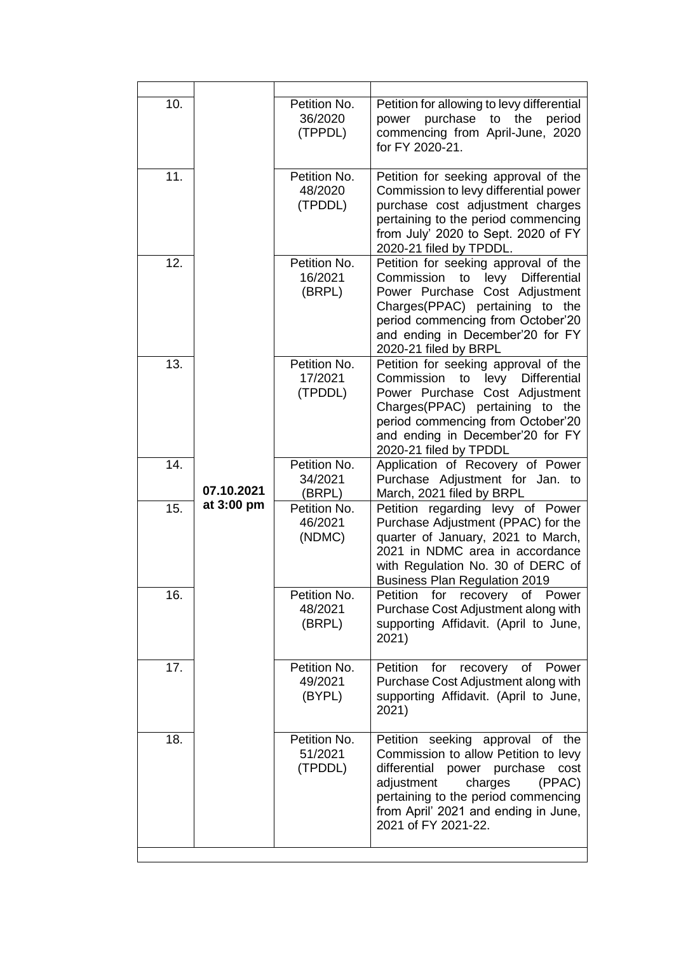| 10. | 07.10.2021 | Petition No.<br>36/2020<br>(TPPDL) | Petition for allowing to levy differential<br>power purchase to<br>the<br>period<br>commencing from April-June, 2020<br>for FY 2020-21.                                                                                                                      |
|-----|------------|------------------------------------|--------------------------------------------------------------------------------------------------------------------------------------------------------------------------------------------------------------------------------------------------------------|
| 11. |            | Petition No.<br>48/2020<br>(TPDDL) | Petition for seeking approval of the<br>Commission to levy differential power<br>purchase cost adjustment charges<br>pertaining to the period commencing<br>from July' 2020 to Sept. 2020 of FY<br>2020-21 filed by TPDDL.                                   |
| 12. |            | Petition No.<br>16/2021<br>(BRPL)  | Petition for seeking approval of the<br>Commission to levy<br>Differential<br>Power Purchase Cost Adjustment<br>Charges(PPAC) pertaining to the<br>period commencing from October'20<br>and ending in December'20 for FY<br>2020-21 filed by BRPL            |
| 13. |            | Petition No.<br>17/2021<br>(TPDDL) | Petition for seeking approval of the<br>Commission to<br>levy<br><b>Differential</b><br>Power Purchase Cost Adjustment<br>Charges(PPAC) pertaining to the<br>period commencing from October'20<br>and ending in December'20 for FY<br>2020-21 filed by TPDDL |
| 14. |            | Petition No.<br>34/2021<br>(BRPL)  | Application of Recovery of Power<br>Purchase Adjustment for Jan. to<br>March, 2021 filed by BRPL                                                                                                                                                             |
| 15. | at 3:00 pm | Petition No.<br>46/2021<br>(NDMC)  | Petition regarding levy of Power<br>Purchase Adjustment (PPAC) for the<br>quarter of January, 2021 to March,<br>2021 in NDMC area in accordance<br>with Regulation No. 30 of DERC of<br><b>Business Plan Regulation 2019</b>                                 |
| 16. |            | Petition No.<br>48/2021<br>(BRPL)  | for recovery of Power<br><b>Petition</b><br>Purchase Cost Adjustment along with<br>supporting Affidavit. (April to June,<br>2021)                                                                                                                            |
| 17. |            | Petition No.<br>49/2021<br>(BYPL)  | Petition<br>for<br>recovery<br>of<br>Power<br>Purchase Cost Adjustment along with<br>supporting Affidavit. (April to June,<br>2021)                                                                                                                          |
| 18. |            | Petition No.<br>51/2021<br>(TPDDL) | Petition seeking approval of the<br>Commission to allow Petition to levy<br>differential<br>power purchase<br>cost<br>adjustment<br>charges<br>(PPAC)<br>pertaining to the period commencing<br>from April' 2021 and ending in June,<br>2021 of FY 2021-22.  |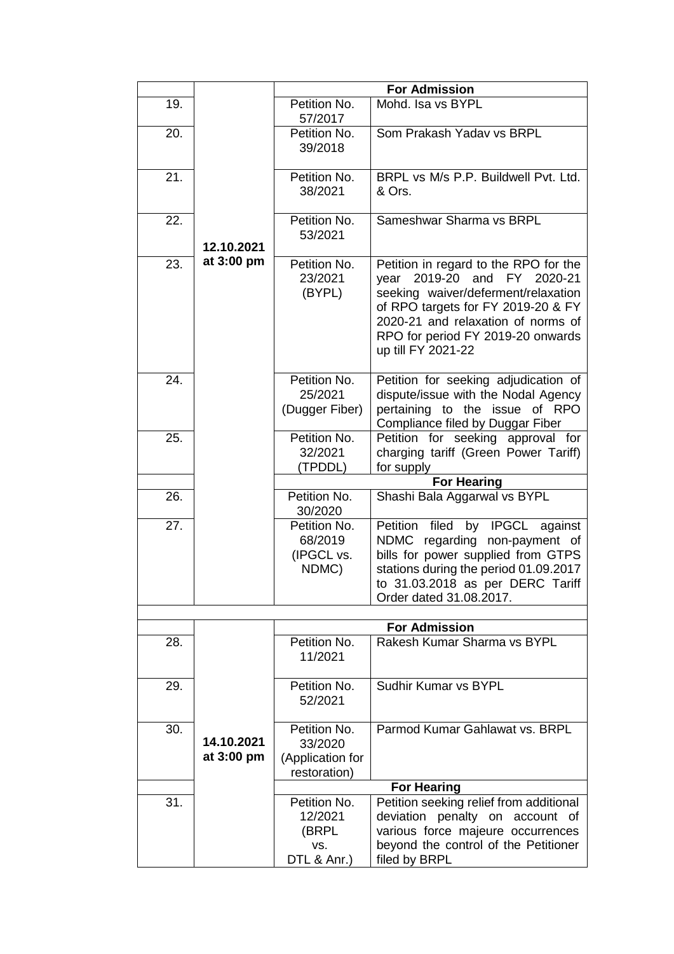|                                 |                                                             | <b>For Admission</b>                                                                                                                                                                                                                               |
|---------------------------------|-------------------------------------------------------------|----------------------------------------------------------------------------------------------------------------------------------------------------------------------------------------------------------------------------------------------------|
| 19.                             | Petition No.<br>57/2017                                     | Mohd. Isa vs BYPL                                                                                                                                                                                                                                  |
| 20.                             | Petition No.<br>39/2018                                     | Som Prakash Yadav vs BRPL                                                                                                                                                                                                                          |
| 21.                             | Petition No.<br>38/2021                                     | BRPL vs M/s P.P. Buildwell Pvt. Ltd.<br>& Ors.                                                                                                                                                                                                     |
| 22.<br>12.10.2021               | Petition No.<br>53/2021                                     | Sameshwar Sharma vs BRPL                                                                                                                                                                                                                           |
| at 3:00 pm<br>23.               | Petition No.<br>23/2021<br>(BYPL)                           | Petition in regard to the RPO for the<br>year 2019-20 and FY 2020-21<br>seeking waiver/deferment/relaxation<br>of RPO targets for FY 2019-20 & FY<br>2020-21 and relaxation of norms of<br>RPO for period FY 2019-20 onwards<br>up till FY 2021-22 |
| 24.                             | Petition No.<br>25/2021<br>(Dugger Fiber)                   | Petition for seeking adjudication of<br>dispute/issue with the Nodal Agency<br>pertaining to the issue of RPO<br>Compliance filed by Duggar Fiber                                                                                                  |
| 25.                             | Petition No.<br>32/2021<br>(TPDDL)                          | Petition for seeking approval for<br>charging tariff (Green Power Tariff)<br>for supply                                                                                                                                                            |
|                                 |                                                             | <b>For Hearing</b>                                                                                                                                                                                                                                 |
| 26.                             | Petition No.<br>30/2020                                     | Shashi Bala Aggarwal vs BYPL                                                                                                                                                                                                                       |
| 27.                             | Petition No.<br>68/2019<br>(IPGCL vs.<br>NDMC)              | filed by IPGCL against<br>Petition<br>NDMC regarding non-payment of<br>bills for power supplied from GTPS<br>stations during the period 01.09.2017<br>to 31.03.2018 as per DERC Tariff<br>Order dated 31.08.2017.                                  |
|                                 |                                                             |                                                                                                                                                                                                                                                    |
| 28.                             | Petition No.<br>11/2021                                     | <b>For Admission</b><br>Rakesh Kumar Sharma vs BYPL                                                                                                                                                                                                |
| 29.                             | Petition No.<br>52/2021                                     | Sudhir Kumar vs BYPL                                                                                                                                                                                                                               |
| 30.<br>14.10.2021<br>at 3:00 pm | Petition No.<br>33/2020<br>(Application for<br>restoration) | Parmod Kumar Gahlawat vs. BRPL                                                                                                                                                                                                                     |
|                                 |                                                             | <b>For Hearing</b>                                                                                                                                                                                                                                 |
| 31.                             | Petition No.<br>12/2021<br>(BRPL<br>VS.<br>DTL & Anr.)      | Petition seeking relief from additional<br>deviation penalty on account of<br>various force majeure occurrences<br>beyond the control of the Petitioner<br>filed by BRPL                                                                           |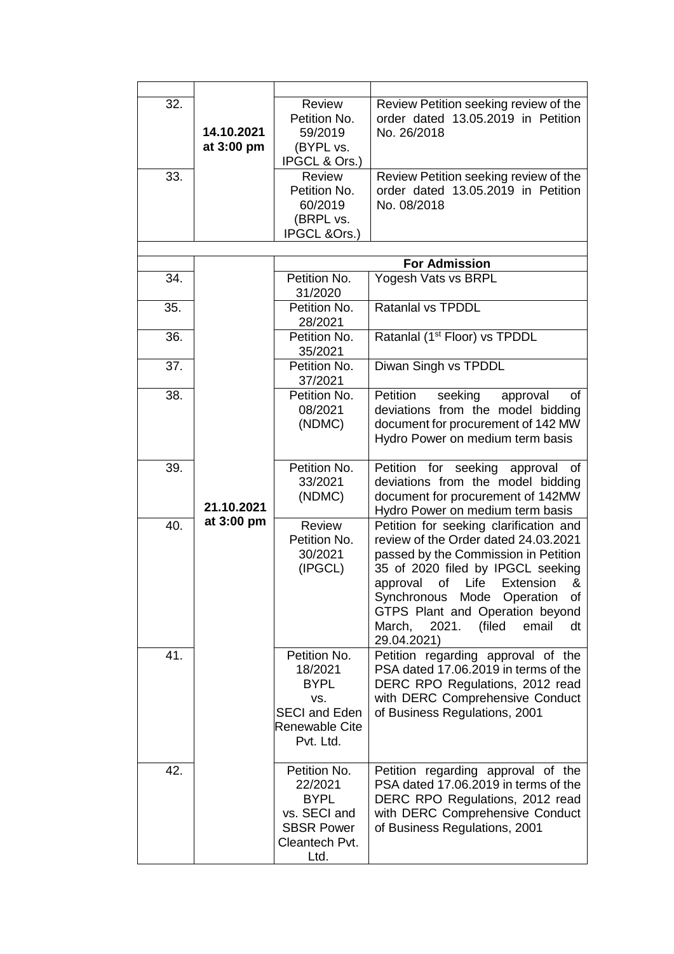| 32. | 14.10.2021<br>at 3:00 pm | <b>Review</b><br>Petition No.<br>59/2019<br>(BYPL vs.<br>IPGCL & Ors.)                                | Review Petition seeking review of the<br>order dated 13.05.2019 in Petition<br>No. 26/2018                                                                                                                                                                                                                                                |
|-----|--------------------------|-------------------------------------------------------------------------------------------------------|-------------------------------------------------------------------------------------------------------------------------------------------------------------------------------------------------------------------------------------------------------------------------------------------------------------------------------------------|
| 33. |                          | <b>Review</b>                                                                                         | Review Petition seeking review of the                                                                                                                                                                                                                                                                                                     |
|     |                          | Petition No.<br>60/2019<br>(BRPL vs.<br>IPGCL &Ors.)                                                  | order dated 13.05.2019 in Petition<br>No. 08/2018                                                                                                                                                                                                                                                                                         |
|     |                          |                                                                                                       |                                                                                                                                                                                                                                                                                                                                           |
|     |                          |                                                                                                       | <b>For Admission</b>                                                                                                                                                                                                                                                                                                                      |
| 34. |                          | Petition No.<br>31/2020                                                                               | Yogesh Vats vs BRPL                                                                                                                                                                                                                                                                                                                       |
| 35. |                          | Petition No.<br>28/2021                                                                               | <b>Ratanlal vs TPDDL</b>                                                                                                                                                                                                                                                                                                                  |
| 36. |                          | Petition No.<br>35/2021                                                                               | Ratanlal (1 <sup>st</sup> Floor) vs TPDDL                                                                                                                                                                                                                                                                                                 |
| 37. |                          | Petition No.<br>37/2021                                                                               | Diwan Singh vs TPDDL                                                                                                                                                                                                                                                                                                                      |
| 38. |                          | Petition No.<br>08/2021<br>(NDMC)                                                                     | Petition<br>seeking<br>of<br>approval<br>deviations from the model bidding<br>document for procurement of 142 MW<br>Hydro Power on medium term basis                                                                                                                                                                                      |
| 39. | 21.10.2021               | Petition No.<br>33/2021<br>(NDMC)                                                                     | for<br>seeking<br>Petition<br>of<br>approval<br>deviations from the model bidding<br>document for procurement of 142MW<br>Hydro Power on medium term basis                                                                                                                                                                                |
| 40. | at 3:00 pm               | Review<br>Petition No.<br>30/2021<br>(IPGCL)                                                          | Petition for seeking clarification and<br>review of the Order dated 24.03.2021<br>passed by the Commission in Petition<br>35 of 2020 filed by IPGCL seeking<br>of<br>Life<br>Extension<br>approval<br>&<br>Synchronous Mode Operation<br>of<br>GTPS Plant and Operation beyond<br>March,<br>email<br>2021.<br>(filed<br>dt<br>29.04.2021) |
| 41. |                          | Petition No.<br>18/2021<br><b>BYPL</b><br>VS.<br><b>SECI and Eden</b><br>Renewable Cite<br>Pvt. Ltd.  | Petition regarding approval of the<br>PSA dated 17.06.2019 in terms of the<br>DERC RPO Regulations, 2012 read<br>with DERC Comprehensive Conduct<br>of Business Regulations, 2001                                                                                                                                                         |
| 42. |                          | Petition No.<br>22/2021<br><b>BYPL</b><br>vs. SECI and<br><b>SBSR Power</b><br>Cleantech Pvt.<br>Ltd. | Petition regarding approval of the<br>PSA dated 17.06.2019 in terms of the<br>DERC RPO Regulations, 2012 read<br>with DERC Comprehensive Conduct<br>of Business Regulations, 2001                                                                                                                                                         |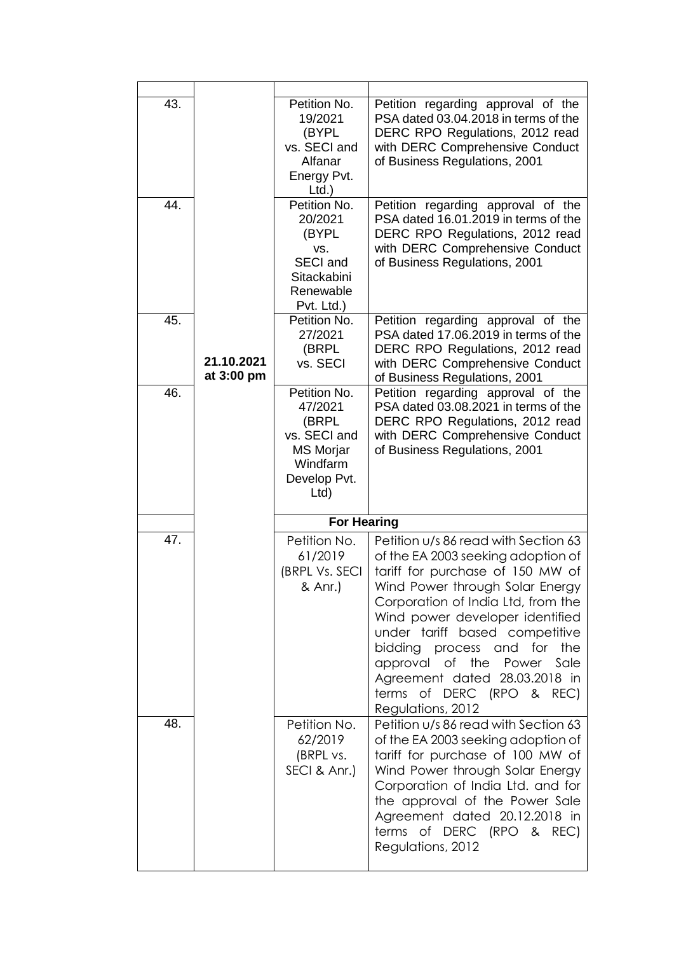| 43. |                          | Petition No.<br>19/2021<br>(BYPL<br>vs. SECI and<br>Alfanar<br>Energy Pvt.<br>$Ltd.$ )                   | Petition regarding approval of the<br>PSA dated 03.04.2018 in terms of the<br>DERC RPO Regulations, 2012 read<br>with DERC Comprehensive Conduct<br>of Business Regulations, 2001                                                                                                                                                                                                          |
|-----|--------------------------|----------------------------------------------------------------------------------------------------------|--------------------------------------------------------------------------------------------------------------------------------------------------------------------------------------------------------------------------------------------------------------------------------------------------------------------------------------------------------------------------------------------|
| 44. |                          | Petition No.<br>20/2021<br>(BYPL<br>VS.<br><b>SECI and</b><br>Sitackabini<br>Renewable<br>Pvt. Ltd.)     | Petition regarding approval of the<br>PSA dated 16.01.2019 in terms of the<br>DERC RPO Regulations, 2012 read<br>with DERC Comprehensive Conduct<br>of Business Regulations, 2001                                                                                                                                                                                                          |
| 45. | 21.10.2021<br>at 3:00 pm | Petition No.<br>27/2021<br>(BRPL<br>vs. SECI                                                             | Petition regarding approval of the<br>PSA dated 17.06.2019 in terms of the<br>DERC RPO Regulations, 2012 read<br>with DERC Comprehensive Conduct<br>of Business Regulations, 2001                                                                                                                                                                                                          |
| 46. |                          | Petition No.<br>47/2021<br>(BRPL<br>vs. SECI and<br><b>MS Morjar</b><br>Windfarm<br>Develop Pvt.<br>Ltd) | Petition regarding approval of the<br>PSA dated 03.08.2021 in terms of the<br>DERC RPO Regulations, 2012 read<br>with DERC Comprehensive Conduct<br>of Business Regulations, 2001                                                                                                                                                                                                          |
|     |                          | <b>For Hearing</b>                                                                                       |                                                                                                                                                                                                                                                                                                                                                                                            |
| 47. |                          | Petition No.<br>61/2019<br>(BRPL Vs. SECI<br>& Anr.)                                                     | Petition u/s 86 read with Section 63<br>of the EA 2003 seeking adoption of<br>tariff for purchase of 150 MW of<br>Wind Power through Solar Energy<br>Corporation of India Ltd, from the<br>Wind power developer identified<br>under tariff based competitive<br>bidding process and for<br>the<br>approval of the Power Sale<br>Agreement dated 28.03.2018 in<br>terms of DERC (RPO & REC) |
|     |                          |                                                                                                          | Regulations, 2012                                                                                                                                                                                                                                                                                                                                                                          |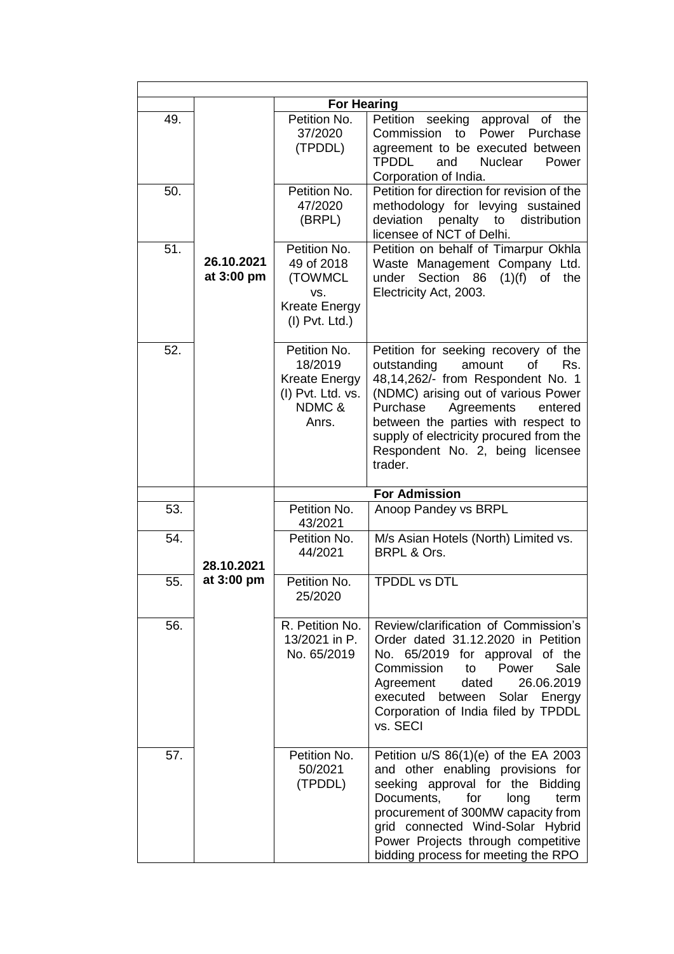|     |                          | <b>For Hearing</b>                                                                       |                                                                                                                                                                                                                                                                                                                              |
|-----|--------------------------|------------------------------------------------------------------------------------------|------------------------------------------------------------------------------------------------------------------------------------------------------------------------------------------------------------------------------------------------------------------------------------------------------------------------------|
| 49. |                          | Petition No.<br>37/2020<br>(TPDDL)                                                       | Petition<br>seeking approval of the<br>Commission to Power Purchase<br>agreement to be executed between<br><b>TPDDL</b><br>and<br><b>Nuclear</b><br>Power<br>Corporation of India.                                                                                                                                           |
| 50. |                          | Petition No.<br>47/2020<br>(BRPL)                                                        | Petition for direction for revision of the<br>methodology for levying sustained<br>distribution<br>deviation<br>penalty<br>to<br>licensee of NCT of Delhi.                                                                                                                                                                   |
| 51. | 26.10.2021<br>at 3:00 pm | Petition No.<br>49 of 2018<br>(TOWMCL<br>VS.<br><b>Kreate Energy</b><br>$(I)$ Pvt. Ltd.) | Petition on behalf of Timarpur Okhla<br>Waste Management Company Ltd.<br>under Section 86<br>$(1)(f)$ of<br>the<br>Electricity Act, 2003.                                                                                                                                                                                    |
| 52. |                          | Petition No.<br>18/2019<br><b>Kreate Energy</b><br>(I) Pvt. Ltd. vs.<br>NDMC &<br>Anrs.  | Petition for seeking recovery of the<br>outstanding<br>of<br>Rs.<br>amount<br>48,14,262/- from Respondent No. 1<br>(NDMC) arising out of various Power<br>Agreements<br>Purchase<br>entered<br>between the parties with respect to<br>supply of electricity procured from the<br>Respondent No. 2, being licensee<br>trader. |
|     |                          |                                                                                          | <b>For Admission</b>                                                                                                                                                                                                                                                                                                         |
| 53. |                          | Petition No.<br>43/2021                                                                  | Anoop Pandey vs BRPL                                                                                                                                                                                                                                                                                                         |
| 54. | 28.10.2021               | Petition No.<br>44/2021                                                                  | M/s Asian Hotels (North) Limited vs.<br>BRPL & Ors.                                                                                                                                                                                                                                                                          |
| 55. | at 3:00 pm               | Petition No.<br>25/2020                                                                  | <b>TPDDL vs DTL</b>                                                                                                                                                                                                                                                                                                          |
| 56. |                          | R. Petition No.<br>13/2021 in P.<br>No. 65/2019                                          | Review/clarification of Commission's<br>Order dated 31.12.2020 in Petition<br>No. 65/2019 for approval of the<br>Power<br>Commission<br>Sale<br>to<br>26.06.2019<br>Agreement<br>dated<br>executed between<br>Solar Energy<br>Corporation of India filed by TPDDL<br>vs. SECI                                                |
| 57. |                          | Petition No.<br>50/2021<br>(TPDDL)                                                       | Petition $u/S 86(1)(e)$ of the EA 2003<br>and other enabling provisions for<br>seeking approval for the Bidding<br>Documents,<br>for<br>long<br>term<br>procurement of 300MW capacity from<br>grid connected Wind-Solar Hybrid<br>Power Projects through competitive<br>bidding process for meeting the RPO                  |